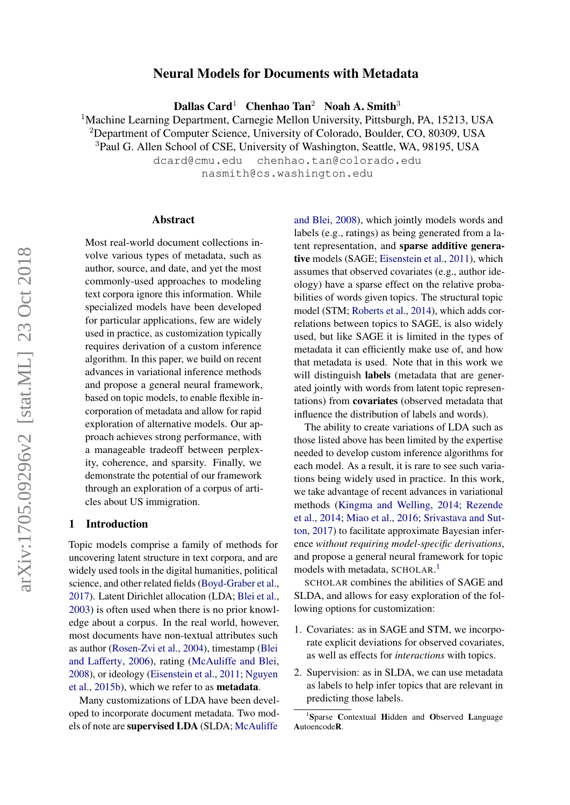# Neural Models for Documents with Metadata

Dallas Card<sup>1</sup> Chenhao Tan<sup>2</sup> Noah A. Smith<sup>3</sup>

<sup>1</sup>Machine Learning Department, Carnegie Mellon University, Pittsburgh, PA, 15213, USA

<sup>2</sup>Department of Computer Science, University of Colorado, Boulder, CO, 80309, USA

<sup>3</sup>Paul G. Allen School of CSE, University of Washington, Seattle, WA, 98195, USA

dcard@cmu.edu chenhao.tan@colorado.edu

nasmith@cs.washington.edu

#### Abstract

Most real-world document collections involve various types of metadata, such as author, source, and date, and yet the most commonly-used approaches to modeling text corpora ignore this information. While specialized models have been developed for particular applications, few are widely used in practice, as customization typically requires derivation of a custom inference algorithm. In this paper, we build on recent advances in variational inference methods and propose a general neural framework, based on topic models, to enable flexible incorporation of metadata and allow for rapid exploration of alternative models. Our approach achieves strong performance, with a manageable tradeoff between perplexity, coherence, and sparsity. Finally, we demonstrate the potential of our framework through an exploration of a corpus of articles about US immigration.

### 1 Introduction

Topic models comprise a family of methods for uncovering latent structure in text corpora, and are widely used tools in the digital humanities, political science, and other related fields [\(Boyd-Graber et al.,](#page-8-0) [2017\)](#page-8-0). Latent Dirichlet allocation (LDA; [Blei et al.,](#page-8-1) [2003\)](#page-8-1) is often used when there is no prior knowledge about a corpus. In the real world, however, most documents have non-textual attributes such as author [\(Rosen-Zvi et al.,](#page-9-0) [2004\)](#page-9-0), timestamp [\(Blei](#page-8-2) [and Lafferty,](#page-8-2) [2006\)](#page-8-2), rating [\(McAuliffe and Blei,](#page-9-1) [2008\)](#page-9-1), or ideology [\(Eisenstein et al.,](#page-9-2) [2011;](#page-9-2) [Nguyen](#page-9-3) [et al.,](#page-9-3) [2015b\)](#page-9-3), which we refer to as metadata.

Many customizations of LDA have been developed to incorporate document metadata. Two models of note are supervised LDA (SLDA; [McAuliffe](#page-9-1)

[and Blei,](#page-9-1) [2008\)](#page-9-1), which jointly models words and labels (e.g., ratings) as being generated from a latent representation, and sparse additive generative models (SAGE; [Eisenstein et al.,](#page-9-2) [2011\)](#page-9-2), which assumes that observed covariates (e.g., author ideology) have a sparse effect on the relative probabilities of words given topics. The structural topic model (STM; [Roberts et al.,](#page-9-4) [2014\)](#page-9-4), which adds correlations between topics to SAGE, is also widely used, but like SAGE it is limited in the types of metadata it can efficiently make use of, and how that metadata is used. Note that in this work we will distinguish **labels** (metadata that are generated jointly with words from latent topic representations) from covariates (observed metadata that influence the distribution of labels and words).

The ability to create variations of LDA such as those listed above has been limited by the expertise needed to develop custom inference algorithms for each model. As a result, it is rare to see such variations being widely used in practice. In this work, we take advantage of recent advances in variational methods [\(Kingma and Welling,](#page-9-5) [2014;](#page-9-5) [Rezende](#page-9-6) [et al.,](#page-9-6) [2014;](#page-9-6) [Miao et al.,](#page-9-7) [2016;](#page-9-7) [Srivastava and Sut](#page-9-8)[ton,](#page-9-8) [2017\)](#page-9-8) to facilitate approximate Bayesian inference *without requiring model-specific derivations*, and propose a general neural framework for topic models with metadata, SCHOLAR. [1](#page-0-0)

SCHOLAR combines the abilities of SAGE and SLDA, and allows for easy exploration of the following options for customization:

- 1. Covariates: as in SAGE and STM, we incorporate explicit deviations for observed covariates, as well as effects for *interactions* with topics.
- 2. Supervision: as in SLDA, we can use metadata as labels to help infer topics that are relevant in predicting those labels.

<span id="page-0-0"></span><sup>&</sup>lt;sup>1</sup>Sparse Contextual Hidden and Observed Language AutoencodeR.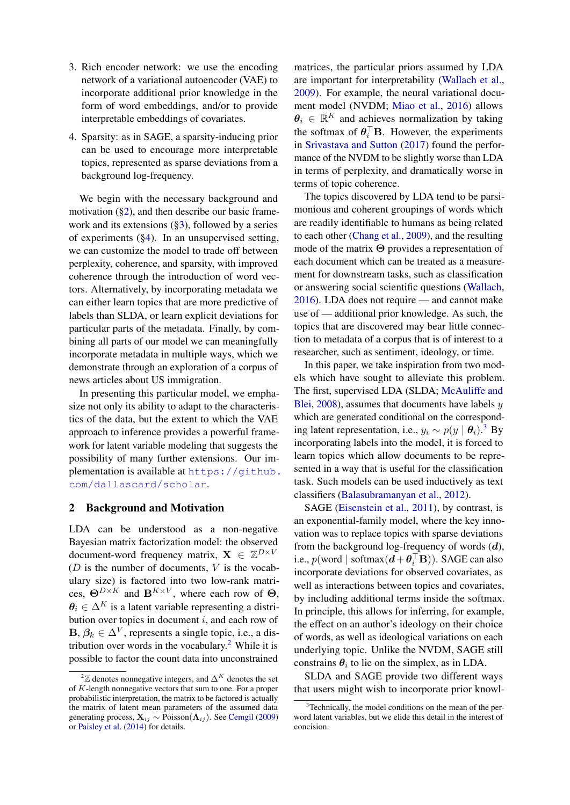- 3. Rich encoder network: we use the encoding network of a variational autoencoder (VAE) to incorporate additional prior knowledge in the form of word embeddings, and/or to provide interpretable embeddings of covariates.
- 4. Sparsity: as in SAGE, a sparsity-inducing prior can be used to encourage more interpretable topics, represented as sparse deviations from a background log-frequency.

We begin with the necessary background and motivation ([§2\)](#page-1-0), and then describe our basic framework and its extensions ([§3\)](#page-2-0), followed by a series of experiments ([§4\)](#page-5-0). In an unsupervised setting, we can customize the model to trade off between perplexity, coherence, and sparsity, with improved coherence through the introduction of word vectors. Alternatively, by incorporating metadata we can either learn topics that are more predictive of labels than SLDA, or learn explicit deviations for particular parts of the metadata. Finally, by combining all parts of our model we can meaningfully incorporate metadata in multiple ways, which we demonstrate through an exploration of a corpus of news articles about US immigration.

In presenting this particular model, we emphasize not only its ability to adapt to the characteristics of the data, but the extent to which the VAE approach to inference provides a powerful framework for latent variable modeling that suggests the possibility of many further extensions. Our implementation is available at [https://github.](https://github.com/dallascard/scholar) [com/dallascard/scholar](https://github.com/dallascard/scholar).

# <span id="page-1-0"></span>2 Background and Motivation

LDA can be understood as a non-negative Bayesian matrix factorization model: the observed document-word frequency matrix,  $\mathbf{X} \in \mathbb{Z}^{D \times V}$ ( $D$  is the number of documents,  $V$  is the vocabulary size) is factored into two low-rank matrices,  $\Theta^{D\times K}$  and  $B^{K\times V}$ , where each row of  $\Theta$ ,  $\theta_i \in \Delta^K$  is a latent variable representing a distribution over topics in document  $i$ , and each row of  $\mathbf{B}, \beta_k \in \Delta^V$ , represents a single topic, i.e., a dis-tribution over words in the vocabulary.<sup>[2](#page-1-1)</sup> While it is possible to factor the count data into unconstrained

matrices, the particular priors assumed by LDA are important for interpretability [\(Wallach et al.,](#page-9-10) [2009\)](#page-9-10). For example, the neural variational document model (NVDM; [Miao et al.,](#page-9-7) [2016\)](#page-9-7) allows  $\theta_i \in \mathbb{R}^K$  and achieves normalization by taking the softmax of  $\theta_i^{\top}$ **B**. However, the experiments in [Srivastava and Sutton](#page-9-8) [\(2017\)](#page-9-8) found the performance of the NVDM to be slightly worse than LDA in terms of perplexity, and dramatically worse in terms of topic coherence.

The topics discovered by LDA tend to be parsimonious and coherent groupings of words which are readily identifiable to humans as being related to each other [\(Chang et al.,](#page-8-4) [2009\)](#page-8-4), and the resulting mode of the matrix Θ provides a representation of each document which can be treated as a measurement for downstream tasks, such as classification or answering social scientific questions [\(Wallach,](#page-9-11) [2016\)](#page-9-11). LDA does not require — and cannot make use of — additional prior knowledge. As such, the topics that are discovered may bear little connection to metadata of a corpus that is of interest to a researcher, such as sentiment, ideology, or time.

In this paper, we take inspiration from two models which have sought to alleviate this problem. The first, supervised LDA (SLDA; [McAuliffe and](#page-9-1) [Blei,](#page-9-1)  $2008$ ), assumes that documents have labels  $y$ which are generated conditional on the corresponding latent representation, i.e.,  $y_i \sim p(y \mid \theta_i)$ .<sup>[3](#page-1-2)</sup> By incorporating labels into the model, it is forced to learn topics which allow documents to be represented in a way that is useful for the classification task. Such models can be used inductively as text classifiers [\(Balasubramanyan et al.,](#page-8-5) [2012\)](#page-8-5).

SAGE [\(Eisenstein et al.,](#page-9-2) [2011\)](#page-9-2), by contrast, is an exponential-family model, where the key innovation was to replace topics with sparse deviations from the background log-frequency of words  $(d)$ , i.e.,  $p(\text{word} \mid \text{softmax}(\boldsymbol{d} + \boldsymbol{\theta}_i^{\top} \mathbf{B}))$ . SAGE can also incorporate deviations for observed covariates, as well as interactions between topics and covariates, by including additional terms inside the softmax. In principle, this allows for inferring, for example, the effect on an author's ideology on their choice of words, as well as ideological variations on each underlying topic. Unlike the NVDM, SAGE still constrains  $\theta_i$  to lie on the simplex, as in LDA.

SLDA and SAGE provide two different ways that users might wish to incorporate prior knowl-

<span id="page-1-1"></span><sup>&</sup>lt;sup>2</sup> $\mathbb Z$  denotes nonnegative integers, and  $\Delta^K$  denotes the set of K-length nonnegative vectors that sum to one. For a proper probabilistic interpretation, the matrix to be factored is actually the matrix of latent mean parameters of the assumed data generating process,  $\mathbf{X}_{ij} \sim \hat{\text{Poisson}}(\Lambda_{ij})$ . See [Cemgil](#page-8-3) [\(2009\)](#page-8-3) or [Paisley et al.](#page-9-9) [\(2014\)](#page-9-9) for details.

<span id="page-1-2"></span><sup>&</sup>lt;sup>3</sup>Technically, the model conditions on the mean of the perword latent variables, but we elide this detail in the interest of concision.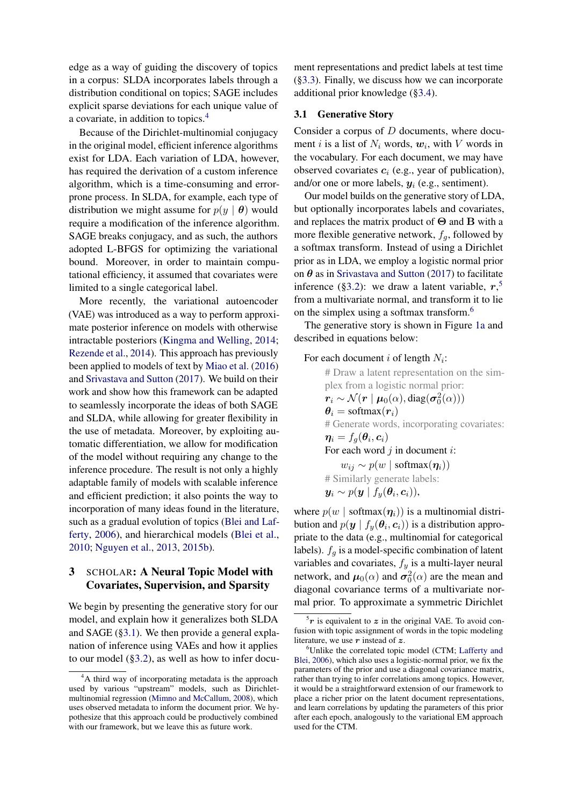edge as a way of guiding the discovery of topics in a corpus: SLDA incorporates labels through a distribution conditional on topics; SAGE includes explicit sparse deviations for each unique value of a covariate, in addition to topics.[4](#page-2-1)

Because of the Dirichlet-multinomial conjugacy in the original model, efficient inference algorithms exist for LDA. Each variation of LDA, however, has required the derivation of a custom inference algorithm, which is a time-consuming and errorprone process. In SLDA, for example, each type of distribution we might assume for  $p(y | \theta)$  would require a modification of the inference algorithm. SAGE breaks conjugacy, and as such, the authors adopted L-BFGS for optimizing the variational bound. Moreover, in order to maintain computational efficiency, it assumed that covariates were limited to a single categorical label.

More recently, the variational autoencoder (VAE) was introduced as a way to perform approximate posterior inference on models with otherwise intractable posteriors [\(Kingma and Welling,](#page-9-5) [2014;](#page-9-5) [Rezende et al.,](#page-9-6) [2014\)](#page-9-6). This approach has previously been applied to models of text by [Miao et al.](#page-9-7) [\(2016\)](#page-9-7) and [Srivastava and Sutton](#page-9-8) [\(2017\)](#page-9-8). We build on their work and show how this framework can be adapted to seamlessly incorporate the ideas of both SAGE and SLDA, while allowing for greater flexibility in the use of metadata. Moreover, by exploiting automatic differentiation, we allow for modification of the model without requiring any change to the inference procedure. The result is not only a highly adaptable family of models with scalable inference and efficient prediction; it also points the way to incorporation of many ideas found in the literature, such as a gradual evolution of topics [\(Blei and Laf](#page-8-2)[ferty,](#page-8-2) [2006\)](#page-8-2), and hierarchical models [\(Blei et al.,](#page-8-6) [2010;](#page-8-6) [Nguyen et al.,](#page-9-12) [2013,](#page-9-12) [2015b\)](#page-9-3).

# <span id="page-2-0"></span>3 SCHOLAR: A Neural Topic Model with Covariates, Supervision, and Sparsity

We begin by presenting the generative story for our model, and explain how it generalizes both SLDA and SAGE ([§3.1\)](#page-2-2). We then provide a general explanation of inference using VAEs and how it applies to our model ([§3.2\)](#page-3-0), as well as how to infer docu-

ment representations and predict labels at test time ([§3.3\)](#page-4-0). Finally, we discuss how we can incorporate additional prior knowledge ([§3.4\)](#page-5-1).

# <span id="page-2-2"></span>3.1 Generative Story

Consider a corpus of D documents, where document *i* is a list of  $N_i$  words,  $w_i$ , with V words in the vocabulary. For each document, we may have observed covariates  $c_i$  (e.g., year of publication), and/or one or more labels,  $y_i$  (e.g., sentiment).

Our model builds on the generative story of LDA, but optionally incorporates labels and covariates, and replaces the matrix product of  $\Theta$  and  $\overline{B}$  with a more flexible generative network,  $f_q$ , followed by a softmax transform. Instead of using a Dirichlet prior as in LDA, we employ a logistic normal prior on  $\theta$  as in [Srivastava and Sutton](#page-9-8) [\(2017\)](#page-9-8) to facilitate inference ([§3.2\)](#page-3-0): we draw a latent variable,  $r<sub>1</sub>$ <sup>[5](#page-2-3)</sup> from a multivariate normal, and transform it to lie on the simplex using a softmax transform.[6](#page-2-4)

The generative story is shown in Figure [1a](#page-3-1) and described in equations below:

# For each document i of length  $N_i$ :

# Draw a latent representation on the simplex from a logistic normal prior:  $\bm{r}_i \sim \mathcal{N}(\bm{r} \mid \bm{\mu}_0(\alpha), \text{diag}(\bm{\sigma}_0^2(\alpha)))$  $\theta_i = \text{softmax}(r_i)$ # Generate words, incorporating covariates:  $\boldsymbol{\eta}_i = f_g(\boldsymbol{\theta}_i, \boldsymbol{c}_i)$ For each word  $j$  in document  $i$ :  $w_{ij} \sim p(w \mid \text{softmax}(\eta_i))$ # Similarly generate labels:  $y_i \sim p(y \mid f_y(\theta_i, c_i)),$ 

where  $p(w \mid \text{softmax}(\eta_i))$  is a multinomial distribution and  $p(\mathbf{y} \mid f_y(\theta_i, \mathbf{c}_i))$  is a distribution appropriate to the data (e.g., multinomial for categorical labels).  $f_g$  is a model-specific combination of latent variables and covariates,  $f_y$  is a multi-layer neural network, and  $\mu_0(\alpha)$  and  $\sigma_0^2(\alpha)$  are the mean and diagonal covariance terms of a multivariate normal prior. To approximate a symmetric Dirichlet

<span id="page-2-1"></span><sup>&</sup>lt;sup>4</sup>A third way of incorporating metadata is the approach used by various "upstream" models, such as Dirichletmultinomial regression [\(Mimno and McCallum,](#page-9-13) [2008\)](#page-9-13), which uses observed metadata to inform the document prior. We hypothesize that this approach could be productively combined with our framework, but we leave this as future work.

<span id="page-2-3"></span> $5r$  is equivalent to z in the original VAE. To avoid confusion with topic assignment of words in the topic modeling literature, we use  $r$  instead of  $z$ .

<span id="page-2-4"></span><sup>&</sup>lt;sup>6</sup>Unlike the correlated topic model (CTM; [Lafferty and](#page-9-14) [Blei,](#page-9-14) [2006\)](#page-9-14), which also uses a logistic-normal prior, we fix the parameters of the prior and use a diagonal covariance matrix, rather than trying to infer correlations among topics. However, it would be a straightforward extension of our framework to place a richer prior on the latent document representations, and learn correlations by updating the parameters of this prior after each epoch, analogously to the variational EM approach used for the CTM.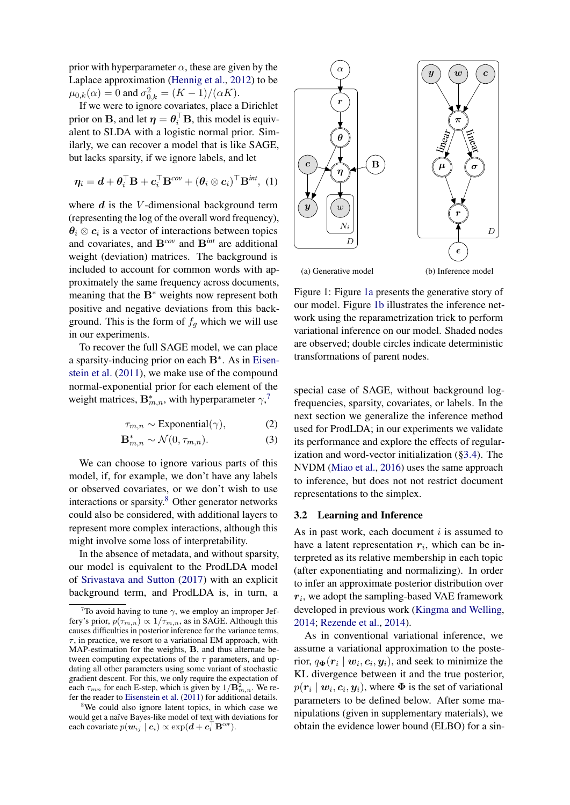prior with hyperparameter  $\alpha$ , these are given by the Laplace approximation [\(Hennig et al.,](#page-9-15) [2012\)](#page-9-15) to be  $\mu_{0,k}(\alpha) = 0$  and  $\sigma_{0,k}^2 = (K - 1)/(\alpha K)$ .

If we were to ignore covariates, place a Dirichlet prior on B, and let  $\eta = \theta_i^\top B$ , this model is equivalent to SLDA with a logistic normal prior. Similarly, we can recover a model that is like SAGE, but lacks sparsity, if we ignore labels, and let

$$
\boldsymbol{\eta}_i = \boldsymbol{d} + \boldsymbol{\theta}_i^{\top} \mathbf{B} + \boldsymbol{c}_i^{\top} \mathbf{B}^{cov} + (\boldsymbol{\theta}_i \otimes \boldsymbol{c}_i)^{\top} \mathbf{B}^{int}, (1)
$$

where  $d$  is the V-dimensional background term (representing the log of the overall word frequency),  $\theta_i \otimes c_i$  is a vector of interactions between topics and covariates, and B*cov* and B*int* are additional weight (deviation) matrices. The background is included to account for common words with approximately the same frequency across documents, meaning that the B<sup>∗</sup> weights now represent both positive and negative deviations from this background. This is the form of  $f_a$  which we will use in our experiments.

To recover the full SAGE model, we can place a sparsity-inducing prior on each B<sup>∗</sup> . As in [Eisen](#page-9-2)[stein et al.](#page-9-2) [\(2011\)](#page-9-2), we make use of the compound normal-exponential prior for each element of the weight matrices,  $\mathbf{B}_{m,n}^*$ , with hyperparameter  $\gamma$ ,<sup>[7](#page-3-2)</sup>

$$
\tau_{m,n} \sim \text{Exponential}(\gamma), \tag{2}
$$

$$
\mathbf{B}_{m,n}^* \sim \mathcal{N}(0, \tau_{m,n}).\tag{3}
$$

We can choose to ignore various parts of this model, if, for example, we don't have any labels or observed covariates, or we don't wish to use interactions or sparsity.[8](#page-3-3) Other generator networks could also be considered, with additional layers to represent more complex interactions, although this might involve some loss of interpretability.

In the absence of metadata, and without sparsity, our model is equivalent to the ProdLDA model of [Srivastava and Sutton](#page-9-8) [\(2017\)](#page-9-8) with an explicit background term, and ProdLDA is, in turn, a

<span id="page-3-1"></span>

Figure 1: Figure [1a](#page-3-1) presents the generative story of our model. Figure [1b](#page-3-1) illustrates the inference network using the reparametrization trick to perform variational inference on our model. Shaded nodes are observed; double circles indicate deterministic transformations of parent nodes.

special case of SAGE, without background logfrequencies, sparsity, covariates, or labels. In the next section we generalize the inference method used for ProdLDA; in our experiments we validate its performance and explore the effects of regularization and word-vector initialization ([§3.4\)](#page-5-1). The NVDM [\(Miao et al.,](#page-9-7) [2016\)](#page-9-7) uses the same approach to inference, but does not not restrict document representations to the simplex.

#### <span id="page-3-0"></span>3.2 Learning and Inference

As in past work, each document  $i$  is assumed to have a latent representation  $r_i$ , which can be interpreted as its relative membership in each topic (after exponentiating and normalizing). In order to infer an approximate posterior distribution over  $r_i$ , we adopt the sampling-based VAE framework developed in previous work [\(Kingma and Welling,](#page-9-5) [2014;](#page-9-5) [Rezende et al.,](#page-9-6) [2014\)](#page-9-6).

As in conventional variational inference, we assume a variational approximation to the posterior,  $q_{\Phi}(\mathbf{r}_i \mid \mathbf{w}_i, \mathbf{c}_i, \mathbf{y}_i)$ , and seek to minimize the KL divergence between it and the true posterior,  $p(\mathbf{r}_i \mid \mathbf{w}_i, \mathbf{c}_i, \mathbf{y}_i)$ , where  $\mathbf{\Phi}$  is the set of variational parameters to be defined below. After some manipulations (given in supplementary materials), we obtain the evidence lower bound (ELBO) for a sin-

<span id="page-3-2"></span><sup>&</sup>lt;sup>7</sup>To avoid having to tune  $\gamma$ , we employ an improper Jeffery's prior,  $p(\tau_{m,n}) \propto 1/\tau_{m,n}$ , as in SAGE. Although this causes difficulties in posterior inference for the variance terms,  $\tau$ , in practice, we resort to a variational EM approach, with MAP-estimation for the weights, B, and thus alternate between computing expectations of the  $\tau$  parameters, and updating all other parameters using some variant of stochastic gradient descent. For this, we only require the expectation of each  $\tau_{mn}$  for each E-step, which is given by  $1/\mathbf{B}_{m,n}^2$ . We refer the reader to [Eisenstein et al.](#page-9-2) [\(2011\)](#page-9-2) for additional details.

<span id="page-3-3"></span><sup>&</sup>lt;sup>8</sup>We could also ignore latent topics, in which case we would get a naïve Bayes-like model of text with deviations for each covariate  $p(\mathbf{w}_{ij} | \mathbf{c}_i) \propto \exp(\mathbf{d} + \mathbf{c}_i^{\top} \mathbf{B}^{cov}).$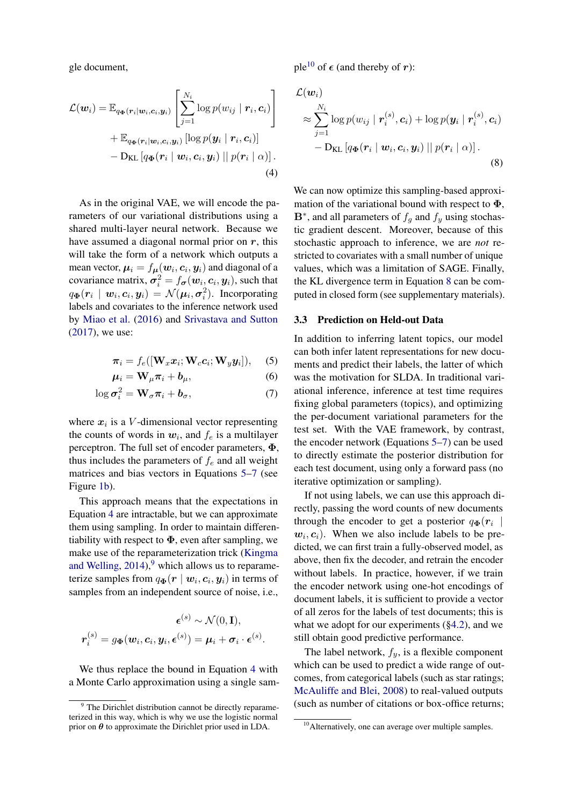gle document,

$$
\mathcal{L}(\boldsymbol{w}_{i}) = \mathbb{E}_{q_{\Phi}(\boldsymbol{r}_{i}|\boldsymbol{w}_{i},\boldsymbol{c}_{i},\boldsymbol{y}_{i})} \left[ \sum_{j=1}^{N_{i}} \log p(w_{ij} | \boldsymbol{r}_{i},\boldsymbol{c}_{i}) \right] + \mathbb{E}_{q_{\Phi}(\boldsymbol{r}_{i}|\boldsymbol{w}_{i},\boldsymbol{c}_{i},\boldsymbol{y}_{i})} \left[ \log p(\boldsymbol{y}_{i} | \boldsymbol{r}_{i},\boldsymbol{c}_{i}) \right] - \text{D}_{\text{KL}} \left[ q_{\Phi}(\boldsymbol{r}_{i} | \boldsymbol{w}_{i},\boldsymbol{c}_{i},\boldsymbol{y}_{i}) || p(\boldsymbol{r}_{i} | \alpha) \right].
$$
\n(4)

As in the original VAE, we will encode the parameters of our variational distributions using a shared multi-layer neural network. Because we have assumed a diagonal normal prior on  $r$ , this will take the form of a network which outputs a mean vector,  $\boldsymbol{\mu}_i = f_{\boldsymbol{\mu}}(\boldsymbol{w}_i,\boldsymbol{c}_i,\boldsymbol{y}_i)$  and diagonal of a covariance matrix,  $\sigma_i^2 = f_{\sigma}(w_i, c_i, y_i)$ , such that  $q_{\mathbf{\Phi}}(\mathbf{r}_i \mid \mathbf{w}_i, \mathbf{c}_i, \mathbf{y}_i) = \mathcal{N}(\mathbf{\mu}_i, \mathbf{\sigma}_i^2)$ . Incorporating labels and covariates to the inference network used by [Miao et al.](#page-9-7) [\(2016\)](#page-9-7) and [Srivastava and Sutton](#page-9-8) [\(2017\)](#page-9-8), we use:

$$
\boldsymbol{\pi}_i = f_e([\mathbf{W}_x \boldsymbol{x}_i; \mathbf{W}_c \boldsymbol{c}_i; \mathbf{W}_y \boldsymbol{y}_i]), \quad (5)
$$

$$
\mu_i = \mathbf{W}_{\mu} \pi_i + \boldsymbol{b}_{\mu}, \tag{6}
$$

$$
\log \sigma_i^2 = \mathbf{W}_\sigma \pi_i + \boldsymbol{b}_\sigma,\tag{7}
$$

where  $x_i$  is a V-dimensional vector representing the counts of words in  $w_i$ , and  $f_e$  is a multilayer perceptron. The full set of encoder parameters,  $\Phi$ , thus includes the parameters of  $f_e$  and all weight matrices and bias vectors in Equations [5](#page-4-1)[–7](#page-4-2) (see Figure [1b\)](#page-3-1).

This approach means that the expectations in Equation [4](#page-3-0) are intractable, but we can approximate them using sampling. In order to maintain differentiability with respect to  $\Phi$ , even after sampling, we make use of the reparameterization trick [\(Kingma](#page-9-5) [and Welling,](#page-9-5)  $2014$ ,  $9$  which allows us to reparameterize samples from  $q_{\mathbf{\Phi}}(\bm{r} \mid \bm{w}_i, \bm{c}_i, \bm{y}_i)$  in terms of samples from an independent source of noise, i.e.,

$$
\boldsymbol{\epsilon}^{(s)} \sim \mathcal{N}(0, \mathbf{I}),
$$

$$
\boldsymbol{r}_i^{(s)} = g_{\boldsymbol{\Phi}}(\boldsymbol{w}_i, \boldsymbol{c}_i, \boldsymbol{y}_i, \boldsymbol{\epsilon}^{(s)}) = \boldsymbol{\mu}_i + \boldsymbol{\sigma}_i \cdot \boldsymbol{\epsilon}^{(s)}.
$$

We thus replace the bound in Equation [4](#page-3-0) with a Monte Carlo approximation using a single sample<sup>[10](#page-4-4)</sup> of  $\epsilon$  (and thereby of r):

$$
\mathcal{L}(\boldsymbol{w}_i)
$$
\n
$$
\approx \sum_{j=1}^{N_i} \log p(w_{ij} | \boldsymbol{r}_i^{(s)}, \boldsymbol{c}_i) + \log p(\boldsymbol{y}_i | \boldsymbol{r}_i^{(s)}, \boldsymbol{c}_i)
$$
\n
$$
- \mathrm{D}_{\mathrm{KL}} \left[ q_{\boldsymbol{\Phi}}(\boldsymbol{r}_i | \boldsymbol{w}_i, \boldsymbol{c}_i, \boldsymbol{y}_i) || p(\boldsymbol{r}_i | \alpha) \right].
$$
\n(8)

We can now optimize this sampling-based approximation of the variational bound with respect to  $\Phi$ ,  $\mathbf{B}^*$ , and all parameters of  $f_g$  and  $f_y$  using stochastic gradient descent. Moreover, because of this stochastic approach to inference, we are *not* restricted to covariates with a small number of unique values, which was a limitation of SAGE. Finally, the KL divergence term in Equation [8](#page-4-2) can be computed in closed form (see supplementary materials).

### <span id="page-4-0"></span>3.3 Prediction on Held-out Data

<span id="page-4-2"></span><span id="page-4-1"></span>In addition to inferring latent topics, our model can both infer latent representations for new documents and predict their labels, the latter of which was the motivation for SLDA. In traditional variational inference, inference at test time requires fixing global parameters (topics), and optimizing the per-document variational parameters for the test set. With the VAE framework, by contrast, the encoder network (Equations [5](#page-4-1)[–7\)](#page-4-2) can be used to directly estimate the posterior distribution for each test document, using only a forward pass (no iterative optimization or sampling).

If not using labels, we can use this approach directly, passing the word counts of new documents through the encoder to get a posterior  $q_{\Phi}(r_i |$  $w_i, c_i$ ). When we also include labels to be predicted, we can first train a fully-observed model, as above, then fix the decoder, and retrain the encoder without labels. In practice, however, if we train the encoder network using one-hot encodings of document labels, it is sufficient to provide a vector of all zeros for the labels of test documents; this is what we adopt for our experiments ([§4.2\)](#page-6-0), and we still obtain good predictive performance.

The label network,  $f_y$ , is a flexible component which can be used to predict a wide range of outcomes, from categorical labels (such as star ratings; [McAuliffe and Blei,](#page-9-1) [2008\)](#page-9-1) to real-valued outputs (such as number of citations or box-office returns;

<span id="page-4-3"></span><sup>&</sup>lt;sup>9</sup> The Dirichlet distribution cannot be directly reparameterized in this way, which is why we use the logistic normal prior on  $\theta$  to approximate the Dirichlet prior used in LDA.

<span id="page-4-4"></span><sup>&</sup>lt;sup>10</sup>Alternatively, one can average over multiple samples.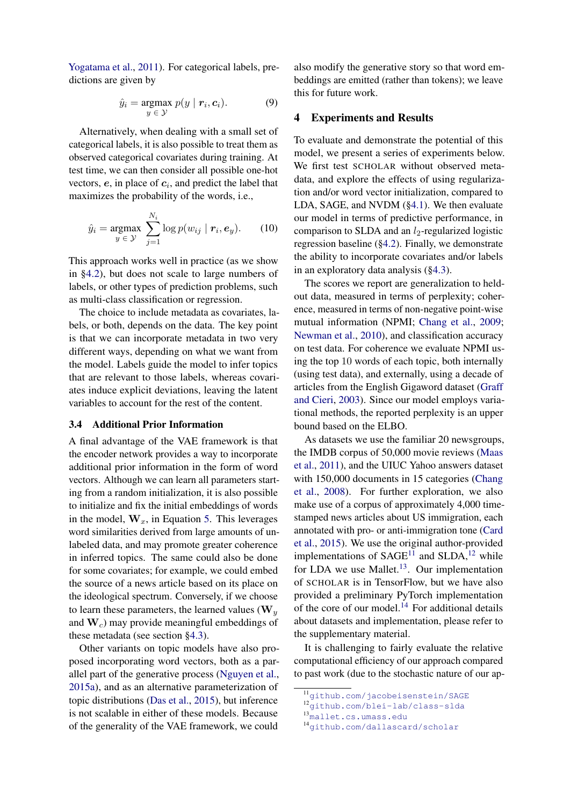[Yogatama et al.,](#page-9-16) [2011\)](#page-9-16). For categorical labels, predictions are given by

$$
\hat{y}_i = \underset{y \in \mathcal{Y}}{\operatorname{argmax}} \; p(y \mid \mathbf{r}_i, \mathbf{c}_i). \tag{9}
$$

Alternatively, when dealing with a small set of categorical labels, it is also possible to treat them as observed categorical covariates during training. At test time, we can then consider all possible one-hot vectors,  $e$ , in place of  $c_i$ , and predict the label that maximizes the probability of the words, i.e.,

$$
\hat{y}_i = \underset{y \in \mathcal{Y}}{\operatorname{argmax}} \sum_{j=1}^{N_i} \log p(w_{ij} \mid \mathbf{r}_i, \mathbf{e}_y). \tag{10}
$$

This approach works well in practice (as we show in [§4.2\)](#page-6-0), but does not scale to large numbers of labels, or other types of prediction problems, such as multi-class classification or regression.

The choice to include metadata as covariates, labels, or both, depends on the data. The key point is that we can incorporate metadata in two very different ways, depending on what we want from the model. Labels guide the model to infer topics that are relevant to those labels, whereas covariates induce explicit deviations, leaving the latent variables to account for the rest of the content.

# <span id="page-5-1"></span>3.4 Additional Prior Information

A final advantage of the VAE framework is that the encoder network provides a way to incorporate additional prior information in the form of word vectors. Although we can learn all parameters starting from a random initialization, it is also possible to initialize and fix the initial embeddings of words in the model,  $W_x$ , in Equation [5.](#page-4-1) This leverages word similarities derived from large amounts of unlabeled data, and may promote greater coherence in inferred topics. The same could also be done for some covariates; for example, we could embed the source of a news article based on its place on the ideological spectrum. Conversely, if we choose to learn these parameters, the learned values ( $W_y$ ) and  $W_c$ ) may provide meaningful embeddings of these metadata (see section [§4.3\)](#page-6-1).

Other variants on topic models have also proposed incorporating word vectors, both as a parallel part of the generative process [\(Nguyen et al.,](#page-9-17) [2015a\)](#page-9-17), and as an alternative parameterization of topic distributions [\(Das et al.,](#page-8-7) [2015\)](#page-8-7), but inference is not scalable in either of these models. Because of the generality of the VAE framework, we could

also modify the generative story so that word embeddings are emitted (rather than tokens); we leave this for future work.

### <span id="page-5-6"></span><span id="page-5-0"></span>4 Experiments and Results

To evaluate and demonstrate the potential of this model, we present a series of experiments below. We first test SCHOLAR without observed metadata, and explore the effects of using regularization and/or word vector initialization, compared to LDA, SAGE, and NVDM ([§4.1\)](#page-6-2). We then evaluate our model in terms of predictive performance, in comparison to SLDA and an  $l_2$ -regularized logistic regression baseline ([§4.2\)](#page-6-0). Finally, we demonstrate the ability to incorporate covariates and/or labels in an exploratory data analysis ([§4.3\)](#page-6-1).

<span id="page-5-7"></span>The scores we report are generalization to heldout data, measured in terms of perplexity; coherence, measured in terms of non-negative point-wise mutual information (NPMI; [Chang et al.,](#page-8-4) [2009;](#page-8-4) [Newman et al.,](#page-9-18) [2010\)](#page-9-18), and classification accuracy on test data. For coherence we evaluate NPMI using the top 10 words of each topic, both internally (using test data), and externally, using a decade of articles from the English Gigaword dataset [\(Graff](#page-9-19) [and Cieri,](#page-9-19) [2003\)](#page-9-19). Since our model employs variational methods, the reported perplexity is an upper bound based on the ELBO.

As datasets we use the familiar 20 newsgroups, the IMDB corpus of 50,000 movie reviews [\(Maas](#page-9-20) [et al.,](#page-9-20) [2011\)](#page-9-20), and the UIUC Yahoo answers dataset with 150,000 documents in 15 categories [\(Chang](#page-8-8) [et al.,](#page-8-8) [2008\)](#page-8-8). For further exploration, we also make use of a corpus of approximately 4,000 timestamped news articles about US immigration, each annotated with pro- or anti-immigration tone [\(Card](#page-8-9) [et al.,](#page-8-9) [2015\)](#page-8-9). We use the original author-provided implementations of  $SAGE<sup>11</sup>$  $SAGE<sup>11</sup>$  $SAGE<sup>11</sup>$  and  $SLDA<sup>12</sup>$  $SLDA<sup>12</sup>$  $SLDA<sup>12</sup>$  while for LDA we use Mallet. $^{13}$  $^{13}$  $^{13}$ . Our implementation of SCHOLAR is in TensorFlow, but we have also provided a preliminary PyTorch implementation of the core of our model.<sup>[14](#page-5-5)</sup> For additional details about datasets and implementation, please refer to the supplementary material.

It is challenging to fairly evaluate the relative computational efficiency of our approach compared to past work (due to the stochastic nature of our ap-

```
13mallet.cs.umass.edu
```

```
14github.com/dallascard/scholar
```
<span id="page-5-2"></span><sup>11</sup><github.com/jacobeisenstein/SAGE>

<span id="page-5-3"></span><sup>12</sup><github.com/blei-lab/class-slda>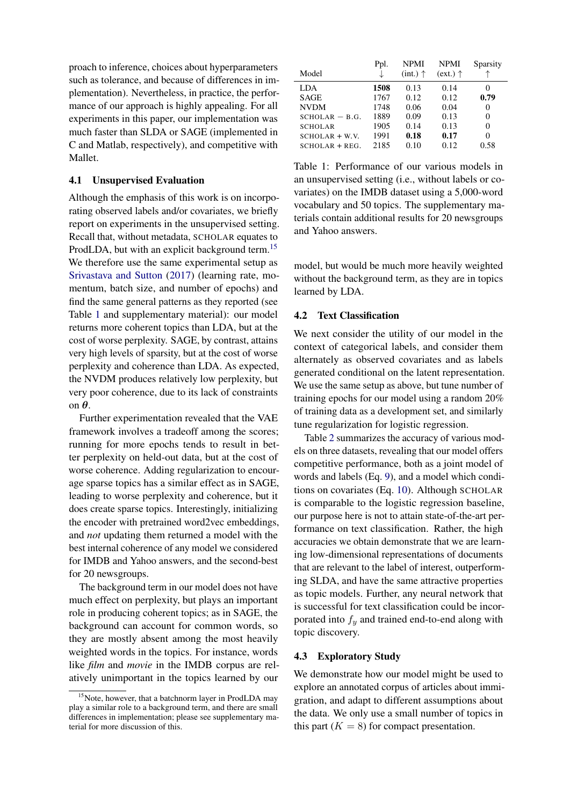proach to inference, choices about hyperparameters such as tolerance, and because of differences in implementation). Nevertheless, in practice, the performance of our approach is highly appealing. For all experiments in this paper, our implementation was much faster than SLDA or SAGE (implemented in C and Matlab, respectively), and competitive with Mallet.

### <span id="page-6-2"></span>4.1 Unsupervised Evaluation

Although the emphasis of this work is on incorporating observed labels and/or covariates, we briefly report on experiments in the unsupervised setting. Recall that, without metadata, SCHOLAR equates to ProdLDA, but with an explicit background term.<sup>[15](#page-6-3)</sup> We therefore use the same experimental setup as [Srivastava and Sutton](#page-9-8) [\(2017\)](#page-9-8) (learning rate, momentum, batch size, and number of epochs) and find the same general patterns as they reported (see Table [1](#page-6-4) and supplementary material): our model returns more coherent topics than LDA, but at the cost of worse perplexity. SAGE, by contrast, attains very high levels of sparsity, but at the cost of worse perplexity and coherence than LDA. As expected, the NVDM produces relatively low perplexity, but very poor coherence, due to its lack of constraints on θ.

Further experimentation revealed that the VAE framework involves a tradeoff among the scores; running for more epochs tends to result in better perplexity on held-out data, but at the cost of worse coherence. Adding regularization to encourage sparse topics has a similar effect as in SAGE, leading to worse perplexity and coherence, but it does create sparse topics. Interestingly, initializing the encoder with pretrained word2vec embeddings, and *not* updating them returned a model with the best internal coherence of any model we considered for IMDB and Yahoo answers, and the second-best for 20 newsgroups.

The background term in our model does not have much effect on perplexity, but plays an important role in producing coherent topics; as in SAGE, the background can account for common words, so they are mostly absent among the most heavily weighted words in the topics. For instance, words like *film* and *movie* in the IMDB corpus are relatively unimportant in the topics learned by our

<span id="page-6-4"></span>

|                  | Ppl. | <b>NPMI</b>         | <b>NPMI</b>         | Sparsity |
|------------------|------|---------------------|---------------------|----------|
| Model            |      | $(int.)$ $\uparrow$ | $(ext.)$ $\uparrow$ |          |
| <b>LDA</b>       | 1508 | 0.13                | 0.14                |          |
| <b>SAGE</b>      | 1767 | 0.12                | 0.12                | 0.79     |
| <b>NVDM</b>      | 1748 | 0.06                | 0.04                | 0        |
| $SCHOLAR - B.G.$ | 1889 | 0.09                | 0.13                | 0        |
| <b>SCHOLAR</b>   | 1905 | 0.14                | 0.13                | 0        |
| $SCHOLAR + W.V.$ | 1991 | 0.18                | 0.17                | 0        |
| $SCHOLAR + REG.$ | 2185 | 0.10                | 0.12                | 0.58     |

Table 1: Performance of our various models in an unsupervised setting (i.e., without labels or covariates) on the IMDB dataset using a 5,000-word vocabulary and 50 topics. The supplementary materials contain additional results for 20 newsgroups and Yahoo answers.

model, but would be much more heavily weighted without the background term, as they are in topics learned by LDA.

#### <span id="page-6-0"></span>4.2 Text Classification

We next consider the utility of our model in the context of categorical labels, and consider them alternately as observed covariates and as labels generated conditional on the latent representation. We use the same setup as above, but tune number of training epochs for our model using a random 20% of training data as a development set, and similarly tune regularization for logistic regression.

Table [2](#page-7-0) summarizes the accuracy of various models on three datasets, revealing that our model offers competitive performance, both as a joint model of words and labels (Eq. [9\)](#page-5-6), and a model which conditions on covariates (Eq. [10\)](#page-5-7). Although SCHOLAR is comparable to the logistic regression baseline, our purpose here is not to attain state-of-the-art performance on text classification. Rather, the high accuracies we obtain demonstrate that we are learning low-dimensional representations of documents that are relevant to the label of interest, outperforming SLDA, and have the same attractive properties as topic models. Further, any neural network that is successful for text classification could be incorporated into  $f_y$  and trained end-to-end along with topic discovery.

# <span id="page-6-1"></span>4.3 Exploratory Study

We demonstrate how our model might be used to explore an annotated corpus of articles about immigration, and adapt to different assumptions about the data. We only use a small number of topics in this part  $(K = 8)$  for compact presentation.

<span id="page-6-3"></span><sup>&</sup>lt;sup>15</sup>Note, however, that a batchnorm layer in ProdLDA may play a similar role to a background term, and there are small differences in implementation; please see supplementary material for more discussion of this.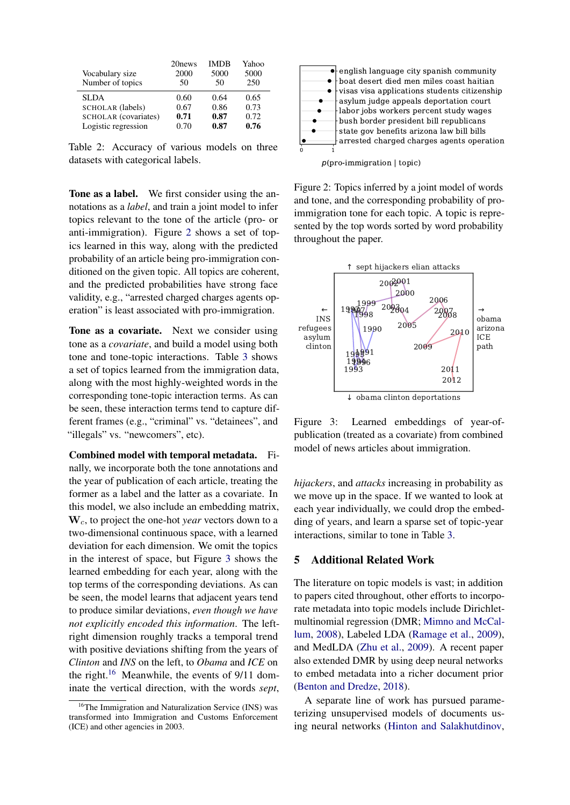<span id="page-7-0"></span>

|                      | 20 news | <b>IMDB</b> | Yahoo |
|----------------------|---------|-------------|-------|
| Vocabulary size      | 2000    | 5000        | 5000  |
| Number of topics     | 50      | 50          | 250   |
| <b>SLDA</b>          | 0.60    | 0.64        | 0.65  |
| SCHOLAR (labels)     | 0.67    | 0.86        | 0.73  |
| SCHOLAR (covariates) | 0.71    | 0.87        | 0.72  |
| Logistic regression  | 0.70    | 0.87        | 0.76  |

Table 2: Accuracy of various models on three datasets with categorical labels.

Tone as a label. We first consider using the annotations as a *label*, and train a joint model to infer topics relevant to the tone of the article (pro- or anti-immigration). Figure [2](#page-7-1) shows a set of topics learned in this way, along with the predicted probability of an article being pro-immigration conditioned on the given topic. All topics are coherent, and the predicted probabilities have strong face validity, e.g., "arrested charged charges agents operation" is least associated with pro-immigration.

Tone as a covariate. Next we consider using tone as a *covariate*, and build a model using both tone and tone-topic interactions. Table [3](#page-8-10) shows a set of topics learned from the immigration data, along with the most highly-weighted words in the corresponding tone-topic interaction terms. As can be seen, these interaction terms tend to capture different frames (e.g., "criminal" vs. "detainees", and "illegals" vs. "newcomers", etc).

Combined model with temporal metadata. Finally, we incorporate both the tone annotations and the year of publication of each article, treating the former as a label and the latter as a covariate. In this model, we also include an embedding matrix, W<sub>c</sub>, to project the one-hot *year* vectors down to a two-dimensional continuous space, with a learned deviation for each dimension. We omit the topics in the interest of space, but Figure [3](#page-7-2) shows the learned embedding for each year, along with the top terms of the corresponding deviations. As can be seen, the model learns that adjacent years tend to produce similar deviations, *even though we have not explicitly encoded this information*. The leftright dimension roughly tracks a temporal trend with positive deviations shifting from the years of *Clinton* and *INS* on the left, to *Obama* and *ICE* on the right.<sup>[16](#page-7-3)</sup> Meanwhile, the events of  $9/11$  dominate the vertical direction, with the words *sept*,

<span id="page-7-1"></span>

 $p$ (pro-immigration | topic)

Figure 2: Topics inferred by a joint model of words and tone, and the corresponding probability of proimmigration tone for each topic. A topic is represented by the top words sorted by word probability throughout the paper.

<span id="page-7-2"></span>

Figure 3: Learned embeddings of year-ofpublication (treated as a covariate) from combined model of news articles about immigration.

*hijackers*, and *attacks* increasing in probability as we move up in the space. If we wanted to look at each year individually, we could drop the embedding of years, and learn a sparse set of topic-year interactions, similar to tone in Table [3.](#page-8-10)

# 5 Additional Related Work

The literature on topic models is vast; in addition to papers cited throughout, other efforts to incorporate metadata into topic models include Dirichletmultinomial regression (DMR; [Mimno and McCal](#page-9-13)[lum,](#page-9-13) [2008\)](#page-9-13), Labeled LDA [\(Ramage et al.,](#page-9-21) [2009\)](#page-9-21), and MedLDA [\(Zhu et al.,](#page-9-22) [2009\)](#page-9-22). A recent paper also extended DMR by using deep neural networks to embed metadata into a richer document prior [\(Benton and Dredze,](#page-8-11) [2018\)](#page-8-11).

A separate line of work has pursued parameterizing unsupervised models of documents using neural networks [\(Hinton and Salakhutdinov,](#page-9-23)

<span id="page-7-3"></span><sup>&</sup>lt;sup>16</sup>The Immigration and Naturalization Service (INS) was transformed into Immigration and Customs Enforcement (ICE) and other agencies in 2003.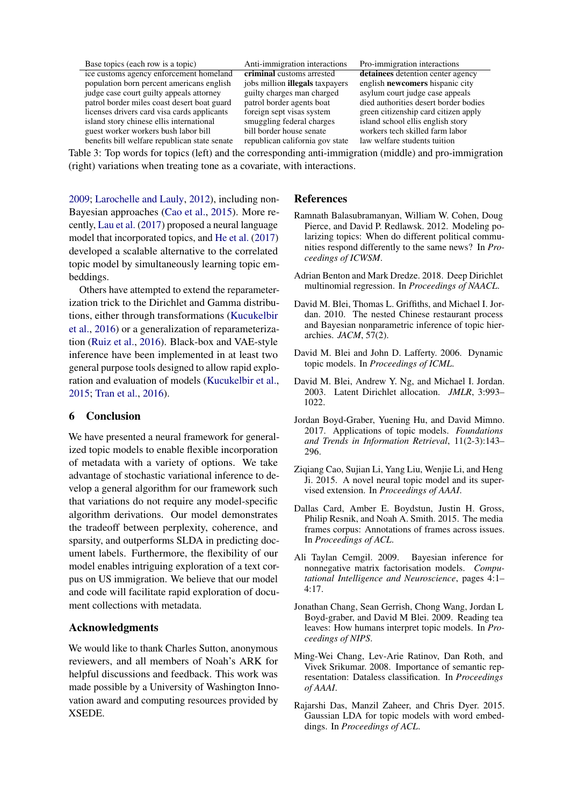<span id="page-8-10"></span>

| Base topics (each row is a topic)           |
|---------------------------------------------|
| ice customs agency enforcement homeland     |
| population born percent americans english   |
| judge case court guilty appeals attorney    |
| patrol border miles coast desert boat guard |
| licenses drivers card visa cards applicants |
| island story chinese ellis international    |
| guest worker workers bush labor bill        |
|                                             |

Anti-immigration interactions Pro-immigration interactions benefits bill welfare republican state senate republican california gov state law welfare students tuition

**criminal** customs arrested **detainees** detention center agency jobs million **illegals** taxpayers english **newcomers** hispanic city guilty charges man charged asylum court judge case appeals<br>patrol border agents boat died authorities desert border bo died authorities desert border bodies foreign sept visas system green citizenship card citizen apply<br>smuggling federal charges island school ellis english story smuggling federal charges island school ellis english story<br>bill border house senate workers tech skilled farm labor workers tech skilled farm labor

Table 3: Top words for topics (left) and the corresponding anti-immigration (middle) and pro-immigration (right) variations when treating tone as a covariate, with interactions.

[2009;](#page-9-23) [Larochelle and Lauly,](#page-9-24) [2012\)](#page-9-24), including non-Bayesian approaches [\(Cao et al.,](#page-8-12) [2015\)](#page-8-12). More recently, [Lau et al.](#page-9-25) [\(2017\)](#page-9-25) proposed a neural language model that incorporated topics, and [He et al.](#page-9-26) [\(2017\)](#page-9-26) developed a scalable alternative to the correlated topic model by simultaneously learning topic embeddings.

Others have attempted to extend the reparameterization trick to the Dirichlet and Gamma distributions, either through transformations [\(Kucukelbir](#page-9-27) [et al.,](#page-9-27) [2016\)](#page-9-27) or a generalization of reparameterization [\(Ruiz et al.,](#page-9-28) [2016\)](#page-9-28). Black-box and VAE-style inference have been implemented in at least two general purpose tools designed to allow rapid exploration and evaluation of models [\(Kucukelbir et al.,](#page-9-29) [2015;](#page-9-29) [Tran et al.,](#page-9-30) [2016\)](#page-9-30).

# 6 Conclusion

We have presented a neural framework for generalized topic models to enable flexible incorporation of metadata with a variety of options. We take advantage of stochastic variational inference to develop a general algorithm for our framework such that variations do not require any model-specific algorithm derivations. Our model demonstrates the tradeoff between perplexity, coherence, and sparsity, and outperforms SLDA in predicting document labels. Furthermore, the flexibility of our model enables intriguing exploration of a text corpus on US immigration. We believe that our model and code will facilitate rapid exploration of document collections with metadata.

# Acknowledgments

We would like to thank Charles Sutton, anonymous reviewers, and all members of Noah's ARK for helpful discussions and feedback. This work was made possible by a University of Washington Innovation award and computing resources provided by XSEDE.

# References

- <span id="page-8-5"></span>Ramnath Balasubramanyan, William W. Cohen, Doug Pierce, and David P. Redlawsk. 2012. Modeling polarizing topics: When do different political communities respond differently to the same news? In *Proceedings of ICWSM*.
- <span id="page-8-11"></span>Adrian Benton and Mark Dredze. 2018. Deep Dirichlet multinomial regression. In *Proceedings of NAACL*.
- <span id="page-8-6"></span>David M. Blei, Thomas L. Griffiths, and Michael I. Jordan. 2010. The nested Chinese restaurant process and Bayesian nonparametric inference of topic hierarchies. *JACM*, 57(2).
- <span id="page-8-2"></span>David M. Blei and John D. Lafferty. 2006. Dynamic topic models. In *Proceedings of ICML*.
- <span id="page-8-1"></span>David M. Blei, Andrew Y. Ng, and Michael I. Jordan. 2003. Latent Dirichlet allocation. *JMLR*, 3:993– 1022.
- <span id="page-8-0"></span>Jordan Boyd-Graber, Yuening Hu, and David Mimno. 2017. Applications of topic models. *Foundations and Trends in Information Retrieval*, 11(2-3):143– 296.
- <span id="page-8-12"></span>Ziqiang Cao, Sujian Li, Yang Liu, Wenjie Li, and Heng Ji. 2015. A novel neural topic model and its supervised extension. In *Proceedings of AAAI*.
- <span id="page-8-9"></span>Dallas Card, Amber E. Boydstun, Justin H. Gross, Philip Resnik, and Noah A. Smith. 2015. The media frames corpus: Annotations of frames across issues. In *Proceedings of ACL*.
- <span id="page-8-3"></span>Ali Taylan Cemgil. 2009. Bayesian inference for nonnegative matrix factorisation models. *Computational Intelligence and Neuroscience*, pages 4:1– 4:17.
- <span id="page-8-4"></span>Jonathan Chang, Sean Gerrish, Chong Wang, Jordan L Boyd-graber, and David M Blei. 2009. Reading tea leaves: How humans interpret topic models. In *Proceedings of NIPS*.
- <span id="page-8-8"></span>Ming-Wei Chang, Lev-Arie Ratinov, Dan Roth, and Vivek Srikumar. 2008. Importance of semantic representation: Dataless classification. In *Proceedings of AAAI*.
- <span id="page-8-7"></span>Rajarshi Das, Manzil Zaheer, and Chris Dyer. 2015. Gaussian LDA for topic models with word embeddings. In *Proceedings of ACL*.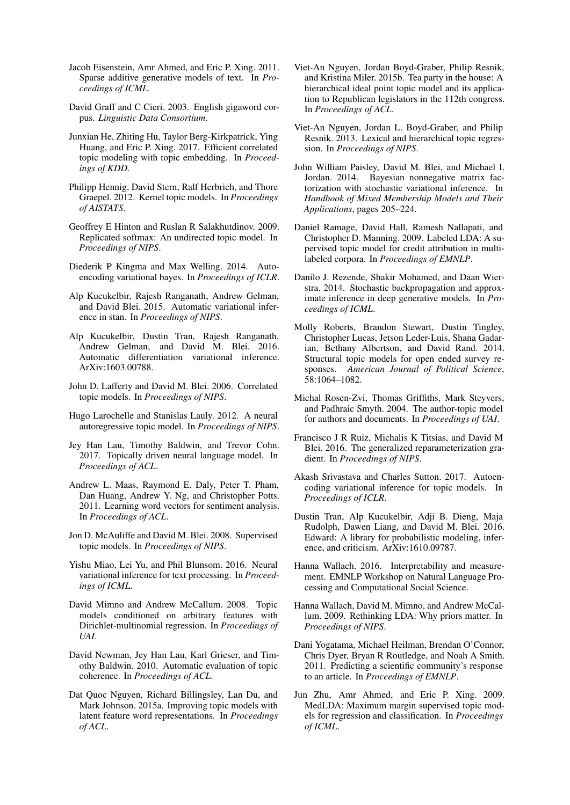- <span id="page-9-2"></span>Jacob Eisenstein, Amr Ahmed, and Eric P. Xing. 2011. Sparse additive generative models of text. In *Proceedings of ICML*.
- <span id="page-9-19"></span>David Graff and C Cieri. 2003. English gigaword corpus. *Linguistic Data Consortium*.
- <span id="page-9-26"></span>Junxian He, Zhiting Hu, Taylor Berg-Kirkpatrick, Ying Huang, and Eric P. Xing. 2017. Efficient correlated topic modeling with topic embedding. In *Proceedings of KDD*.
- <span id="page-9-15"></span>Philipp Hennig, David Stern, Ralf Herbrich, and Thore Graepel. 2012. Kernel topic models. In *Proceedings of AISTATS*.
- <span id="page-9-23"></span>Geoffrey E Hinton and Ruslan R Salakhutdinov. 2009. Replicated softmax: An undirected topic model. In *Proceedings of NIPS*.
- <span id="page-9-5"></span>Diederik P Kingma and Max Welling. 2014. Autoencoding variational bayes. In *Proceedings of ICLR*.
- <span id="page-9-29"></span>Alp Kucukelbir, Rajesh Ranganath, Andrew Gelman, and David Blei. 2015. Automatic variational inference in stan. In *Proceedings of NIPS*.
- <span id="page-9-27"></span>Alp Kucukelbir, Dustin Tran, Rajesh Ranganath, Andrew Gelman, and David M. Blei. 2016. Automatic differentiation variational inference. ArXiv:1603.00788.
- <span id="page-9-14"></span>John D. Lafferty and David M. Blei. 2006. Correlated topic models. In *Proceedings of NIPS*.
- <span id="page-9-24"></span>Hugo Larochelle and Stanislas Lauly. 2012. A neural autoregressive topic model. In *Proceedings of NIPS*.
- <span id="page-9-25"></span>Jey Han Lau, Timothy Baldwin, and Trevor Cohn. 2017. Topically driven neural language model. In *Proceedings of ACL*.
- <span id="page-9-20"></span>Andrew L. Maas, Raymond E. Daly, Peter T. Pham, Dan Huang, Andrew Y. Ng, and Christopher Potts. 2011. Learning word vectors for sentiment analysis. In *Proceedings of ACL*.
- <span id="page-9-1"></span>Jon D. McAuliffe and David M. Blei. 2008. Supervised topic models. In *Proceedings of NIPS*.
- <span id="page-9-7"></span>Yishu Miao, Lei Yu, and Phil Blunsom. 2016. Neural variational inference for text processing. In *Proceedings of ICML*.
- <span id="page-9-13"></span>David Mimno and Andrew McCallum. 2008. Topic models conditioned on arbitrary features with Dirichlet-multinomial regression. In *Proceedings of UAI*.
- <span id="page-9-18"></span>David Newman, Jey Han Lau, Karl Grieser, and Timothy Baldwin. 2010. Automatic evaluation of topic coherence. In *Proceedings of ACL*.
- <span id="page-9-17"></span>Dat Quoc Nguyen, Richard Billingsley, Lan Du, and Mark Johnson. 2015a. Improving topic models with latent feature word representations. In *Proceedings of ACL*.
- <span id="page-9-3"></span>Viet-An Nguyen, Jordan Boyd-Graber, Philip Resnik, and Kristina Miler. 2015b. Tea party in the house: A hierarchical ideal point topic model and its application to Republican legislators in the 112th congress. In *Proceedings of ACL*.
- <span id="page-9-12"></span>Viet-An Nguyen, Jordan L. Boyd-Graber, and Philip Resnik. 2013. Lexical and hierarchical topic regression. In *Proceedings of NIPS*.
- <span id="page-9-9"></span>John William Paisley, David M. Blei, and Michael I. Jordan. 2014. Bayesian nonnegative matrix factorization with stochastic variational inference. In *Handbook of Mixed Membership Models and Their Applications*, pages 205–224.
- <span id="page-9-21"></span>Daniel Ramage, David Hall, Ramesh Nallapati, and Christopher D. Manning. 2009. Labeled LDA: A supervised topic model for credit attribution in multilabeled corpora. In *Proceedings of EMNLP*.
- <span id="page-9-6"></span>Danilo J. Rezende, Shakir Mohamed, and Daan Wierstra. 2014. Stochastic backpropagation and approximate inference in deep generative models. In *Proceedings of ICML*.
- <span id="page-9-4"></span>Molly Roberts, Brandon Stewart, Dustin Tingley, Christopher Lucas, Jetson Leder-Luis, Shana Gadarian, Bethany Albertson, and David Rand. 2014. Structural topic models for open ended survey responses. *American Journal of Political Science*, 58:1064–1082.
- <span id="page-9-0"></span>Michal Rosen-Zvi, Thomas Griffiths, Mark Steyvers, and Padhraic Smyth. 2004. The author-topic model for authors and documents. In *Proceedings of UAI*.
- <span id="page-9-28"></span>Francisco J R Ruiz, Michalis K Titsias, and David M Blei. 2016. The generalized reparameterization gradient. In *Proceedings of NIPS*.
- <span id="page-9-8"></span>Akash Srivastava and Charles Sutton. 2017. Autoencoding variational inference for topic models. In *Proceedings of ICLR*.
- <span id="page-9-30"></span>Dustin Tran, Alp Kucukelbir, Adji B. Dieng, Maja Rudolph, Dawen Liang, and David M. Blei. 2016. Edward: A library for probabilistic modeling, inference, and criticism. ArXiv:1610.09787.
- <span id="page-9-11"></span>Hanna Wallach. 2016. Interpretability and measurement. EMNLP Workshop on Natural Language Processing and Computational Social Science.
- <span id="page-9-10"></span>Hanna Wallach, David M. Mimno, and Andrew McCallum. 2009. Rethinking LDA: Why priors matter. In *Proceedings of NIPS*.
- <span id="page-9-16"></span>Dani Yogatama, Michael Heilman, Brendan O'Connor, Chris Dyer, Bryan R Routledge, and Noah A Smith. 2011. Predicting a scientific community's response to an article. In *Proceedings of EMNLP*.
- <span id="page-9-22"></span>Jun Zhu, Amr Ahmed, and Eric P. Xing. 2009. MedLDA: Maximum margin supervised topic models for regression and classification. In *Proceedings of ICML*.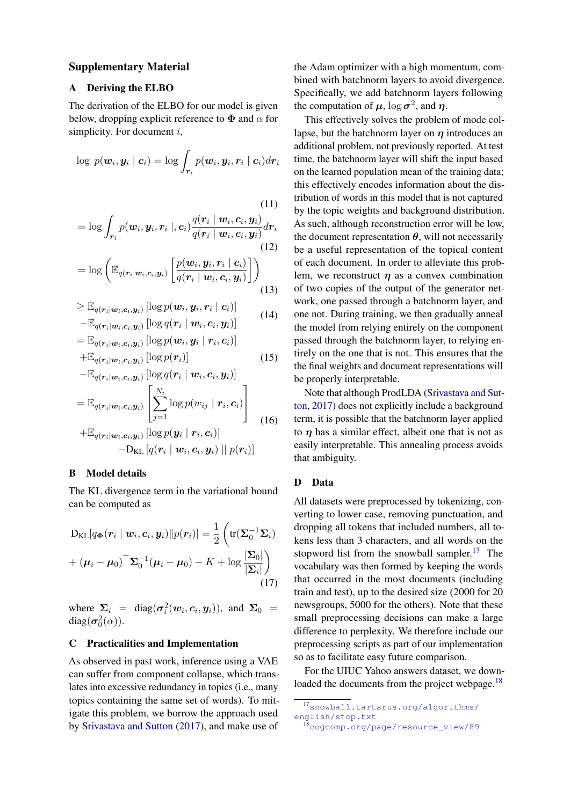### Supplementary Material

# A Deriving the ELBO

The derivation of the ELBO for our model is given below, dropping explicit reference to  $\Phi$  and  $\alpha$  for simplicity. For document  $i$ ,

$$
\log\,p(\boldsymbol{w}_i,\boldsymbol{y}_i\mid\boldsymbol{c}_i)=\log\int_{\boldsymbol{r}_i}p(\boldsymbol{w}_i,\boldsymbol{y}_i,\boldsymbol{r}_i\mid\boldsymbol{c}_i)d\boldsymbol{r}_i
$$

(11)  
= 
$$
\log \int_{\boldsymbol{r}_i} p(\boldsymbol{w}_i, \boldsymbol{y}_i, \boldsymbol{r}_i |, \boldsymbol{c}_i) \frac{q(\boldsymbol{r}_i | \boldsymbol{w}_i, \boldsymbol{c}_i, \boldsymbol{y}_i)}{q(\boldsymbol{r}_i | \boldsymbol{w}_i, \boldsymbol{c}_i, \boldsymbol{y}_i)} d\boldsymbol{r}_i
$$
(12)

$$
= \log \left( \mathbb{E}_{q(\boldsymbol{r}_i|\boldsymbol{w}_i,\boldsymbol{c}_i,\boldsymbol{y}_i)} \left[ \frac{p(\boldsymbol{w}_i, \boldsymbol{y}_i, \boldsymbol{r}_i \mid \boldsymbol{c}_i)}{q(\boldsymbol{r}_i \mid \boldsymbol{w}_i, \boldsymbol{c}_i, \boldsymbol{y}_i)} \right] \right)
$$
(13)

$$
\geq \mathbb{E}_{q(\boldsymbol{r}_i|\boldsymbol{w}_i,\boldsymbol{c}_i,\boldsymbol{y}_i)} [\log p(\boldsymbol{w}_i,\boldsymbol{y}_i,\boldsymbol{r}_i | \boldsymbol{c}_i)] - \mathbb{E}_{q(\boldsymbol{r}_i|\boldsymbol{w}_i,\boldsymbol{c}_i,\boldsymbol{y}_i)} [\log q(\boldsymbol{r}_i | \boldsymbol{w}_i,\boldsymbol{c}_i,\boldsymbol{y}_i)]
$$
(14)

$$
= \mathbb{E}_{q(\boldsymbol{r}_i|\boldsymbol{w}_i,\boldsymbol{c}_i,\boldsymbol{y}_i)}\left[\log p(\boldsymbol{w}_i,\boldsymbol{y}_i\mid \boldsymbol{r}_i,\boldsymbol{c}_i)\right]
$$

$$
+\mathbb{E}_{q(\mathbf{r}_i|\mathbf{w}_i,\mathbf{c}_i,\mathbf{y}_i)}\left[\log p(\mathbf{r}_i)\right]
$$
(15)

$$
-\mathbb{E}_{q(\mathbf{r}_i|\mathbf{w}_i,\mathbf{c}_i,\mathbf{y}_i)} [\log q(\mathbf{r}_i | \mathbf{w}_i, \mathbf{c}_i, \mathbf{y}_i)]
$$
  
\n
$$
=\mathbb{E}_{q(\mathbf{r}_i|\mathbf{w}_i,\mathbf{c}_i,\mathbf{y}_i)} \left[ \sum_{j=1}^{N_i} \log p(w_{ij} | \mathbf{r}_i, \mathbf{c}_i) \right]
$$
  
\n
$$
+\mathbb{E}_{q(\mathbf{r}_i|\mathbf{w}_i,\mathbf{c}_i,\mathbf{y}_i)} [\log p(\mathbf{y}_i | \mathbf{r}_i, \mathbf{c}_i)]
$$
  
\n
$$
-\mathbf{D}_{\text{KL}} [q(\mathbf{r}_i | \mathbf{w}_i, \mathbf{c}_i, \mathbf{y}_i) || p(\mathbf{r}_i)]
$$

# B Model details

The KL divergence term in the variational bound can be computed as

$$
D_{KL}[q_{\Phi}(\boldsymbol{r}_i \mid \boldsymbol{w}_i, \boldsymbol{c}_i, \boldsymbol{y}_i) \| p(\boldsymbol{r}_i)] = \frac{1}{2} \left( tr(\boldsymbol{\Sigma}_0^{-1} \boldsymbol{\Sigma}_i) + (\boldsymbol{\mu}_i - \boldsymbol{\mu}_0)^\top \boldsymbol{\Sigma}_0^{-1} (\boldsymbol{\mu}_i - \boldsymbol{\mu}_0) - K + \log \frac{|\boldsymbol{\Sigma}_0|}{|\boldsymbol{\Sigma}_i|} \right)
$$
\n(17)

where  $\Sigma_i = \text{diag}(\sigma_i^2(w_i, c_i, y_i))$ , and  $\Sigma_0 =$ diag( $\sigma_0^2(\alpha)$ ).

### C Practicalities and Implementation

As observed in past work, inference using a VAE can suffer from component collapse, which translates into excessive redundancy in topics (i.e., many topics containing the same set of words). To mitigate this problem, we borrow the approach used by [Srivastava and Sutton](#page-9-8) [\(2017\)](#page-9-8), and make use of the Adam optimizer with a high momentum, combined with batchnorm layers to avoid divergence. Specifically, we add batchnorm layers following the computation of  $\mu$ ,  $\log \sigma^2$ , and  $\eta$ .

This effectively solves the problem of mode collapse, but the batchnorm layer on  $\eta$  introduces an additional problem, not previously reported. At test time, the batchnorm layer will shift the input based on the learned population mean of the training data; this effectively encodes information about the distribution of words in this model that is not captured by the topic weights and background distribution. As such, although reconstruction error will be low, the document representation  $\theta$ , will not necessarily be a useful representation of the topical content of each document. In order to alleviate this problem, we reconstruct  $\eta$  as a convex combination of two copies of the output of the generator network, one passed through a batchnorm layer, and one not. During training, we then gradually anneal the model from relying entirely on the component passed through the batchnorm layer, to relying entirely on the one that is not. This ensures that the the final weights and document representations will be properly interpretable.

Note that although ProdLDA [\(Srivastava and Sut](#page-9-8)[ton,](#page-9-8) [2017\)](#page-9-8) does not explicitly include a background term, it is possible that the batchnorm layer applied to  $\eta$  has a similar effect, albeit one that is not as easily interpretable. This annealing process avoids that ambiguity.

#### D Data

All datasets were preprocessed by tokenizing, converting to lower case, removing punctuation, and dropping all tokens that included numbers, all tokens less than 3 characters, and all words on the stopword list from the snowball sampler.<sup>[17](#page-10-0)</sup> The vocabulary was then formed by keeping the words that occurred in the most documents (including train and test), up to the desired size (2000 for 20 newsgroups, 5000 for the others). Note that these small preprocessing decisions can make a large difference to perplexity. We therefore include our preprocessing scripts as part of our implementation so as to facilitate easy future comparison.

For the UIUC Yahoo answers dataset, we down-loaded the documents from the project webpage.<sup>[18](#page-10-1)</sup>

<span id="page-10-0"></span><sup>17</sup>[snowball.tartarus.org/algorithms/](snowball.tartarus.org/algorithms/english/stop.txt) [english/stop.txt](snowball.tartarus.org/algorithms/english/stop.txt)

<span id="page-10-1"></span><sup>18</sup>[cogcomp.org/page/resource\\_view/89](cogcomp.org/page/resource_view/89)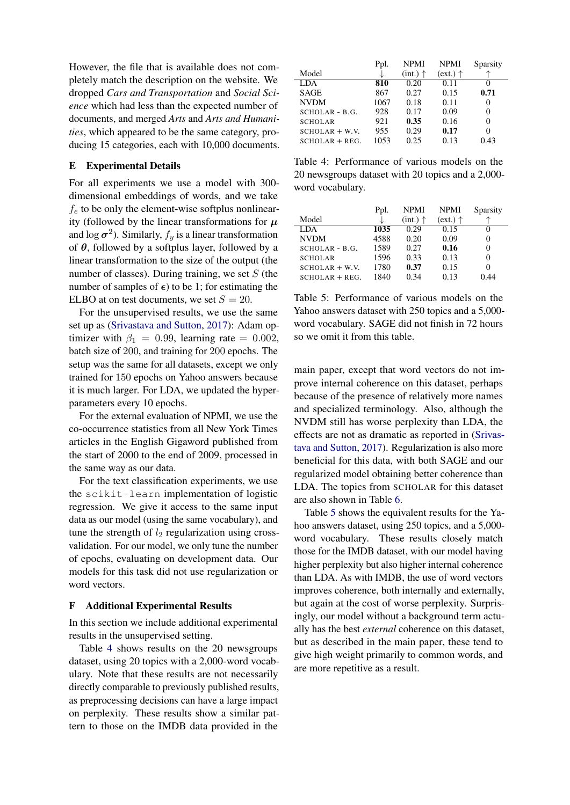However, the file that is available does not completely match the description on the website. We dropped *Cars and Transportation* and *Social Science* which had less than the expected number of documents, and merged *Arts* and *Arts and Humanities*, which appeared to be the same category, producing 15 categories, each with 10,000 documents.

# E Experimental Details

For all experiments we use a model with 300 dimensional embeddings of words, and we take  $f_e$  to be only the element-wise softplus nonlinearity (followed by the linear transformations for  $\mu$ and  $\log \sigma^2$ ). Similarly,  $f_y$  is a linear transformation of  $\theta$ , followed by a softplus layer, followed by a linear transformation to the size of the output (the number of classes). During training, we set  $S$  (the number of samples of  $\epsilon$ ) to be 1; for estimating the ELBO at on test documents, we set  $S = 20$ .

For the unsupervised results, we use the same set up as [\(Srivastava and Sutton,](#page-9-8) [2017\)](#page-9-8): Adam optimizer with  $\beta_1 = 0.99$ , learning rate = 0.002, batch size of 200, and training for 200 epochs. The setup was the same for all datasets, except we only trained for 150 epochs on Yahoo answers because it is much larger. For LDA, we updated the hyperparameters every 10 epochs.

For the external evaluation of NPMI, we use the co-occurrence statistics from all New York Times articles in the English Gigaword published from the start of 2000 to the end of 2009, processed in the same way as our data.

For the text classification experiments, we use the scikit-learn implementation of logistic regression. We give it access to the same input data as our model (using the same vocabulary), and tune the strength of  $l_2$  regularization using crossvalidation. For our model, we only tune the number of epochs, evaluating on development data. Our models for this task did not use regularization or word vectors.

# F Additional Experimental Results

In this section we include additional experimental results in the unsupervised setting.

Table [4](#page-11-0) shows results on the 20 newsgroups dataset, using 20 topics with a 2,000-word vocabulary. Note that these results are not necessarily directly comparable to previously published results, as preprocessing decisions can have a large impact on perplexity. These results show a similar pattern to those on the IMDB data provided in the

<span id="page-11-0"></span>

|                  | Ppl. | <b>NPMI</b>       | <b>NPMI</b>            | Sparsity |
|------------------|------|-------------------|------------------------|----------|
| Model            |      | $(int.) \uparrow$ | $text{ext.}) \uparrow$ |          |
| LDA.             | 810  | 0.20              | 0.11                   | $\theta$ |
| <b>SAGE</b>      | 867  | 0.27              | 0.15                   | 0.71     |
| <b>NVDM</b>      | 1067 | 0.18              | 0.11                   | 0        |
| SCHOLAR - B.G.   | 928  | 0.17              | 0.09                   | 0        |
| <b>SCHOLAR</b>   | 921  | 0.35              | 0.16                   | 0        |
| $SCHOLAR + W.V.$ | 955  | 0.29              | 0.17                   | 0        |
| $SCHOLAR + REG.$ | 1053 | 0.25              | 0.13                   | 0.43     |

Table 4: Performance of various models on the 20 newsgroups dataset with 20 topics and a 2,000 word vocabulary.

<span id="page-11-1"></span>

|                  | Ppl. | <b>NPMI</b>       | <b>NPMI</b>       | Sparsity |
|------------------|------|-------------------|-------------------|----------|
| Model            |      | $(int.) \uparrow$ | $(ext.) \uparrow$ |          |
| LDA.             | 1035 | 0.29              | 0.15              |          |
| <b>NVDM</b>      | 4588 | 0.20              | 0.09              | 0        |
| $SCHOLAR - B.G.$ | 1589 | 0.27              | 0.16              | 0        |
| <b>SCHOLAR</b>   | 1596 | 0.33              | 0.13              | 0        |
| $SCHOLAR + W.V.$ | 1780 | 0.37              | 0.15              | 0        |
| $SCHOLAR + REG.$ | 1840 | 0.34              | 0.13              | 0.44     |

Table 5: Performance of various models on the Yahoo answers dataset with 250 topics and a 5,000 word vocabulary. SAGE did not finish in 72 hours so we omit it from this table.

main paper, except that word vectors do not improve internal coherence on this dataset, perhaps because of the presence of relatively more names and specialized terminology. Also, although the NVDM still has worse perplexity than LDA, the effects are not as dramatic as reported in [\(Srivas](#page-9-8)[tava and Sutton,](#page-9-8) [2017\)](#page-9-8). Regularization is also more beneficial for this data, with both SAGE and our regularized model obtaining better coherence than LDA. The topics from SCHOLAR for this dataset are also shown in Table [6.](#page-12-0)

Table [5](#page-11-1) shows the equivalent results for the Yahoo answers dataset, using 250 topics, and a 5,000 word vocabulary. These results closely match those for the IMDB dataset, with our model having higher perplexity but also higher internal coherence than LDA. As with IMDB, the use of word vectors improves coherence, both internally and externally, but again at the cost of worse perplexity. Surprisingly, our model without a background term actually has the best *external* coherence on this dataset, but as described in the main paper, these tend to give high weight primarily to common words, and are more repetitive as a result.